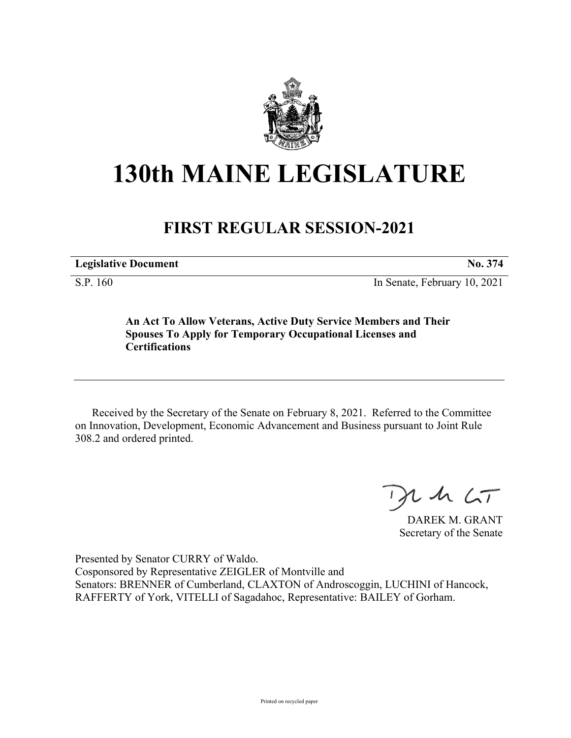

## **130th MAINE LEGISLATURE**

## **FIRST REGULAR SESSION-2021**

**Legislative Document No. 374** S.P. 160 In Senate, February 10, 2021

**An Act To Allow Veterans, Active Duty Service Members and Their Spouses To Apply for Temporary Occupational Licenses and Certifications**

Received by the Secretary of the Senate on February 8, 2021. Referred to the Committee on Innovation, Development, Economic Advancement and Business pursuant to Joint Rule 308.2 and ordered printed.

 $125$ 

DAREK M. GRANT Secretary of the Senate

Presented by Senator CURRY of Waldo. Cosponsored by Representative ZEIGLER of Montville and Senators: BRENNER of Cumberland, CLAXTON of Androscoggin, LUCHINI of Hancock, RAFFERTY of York, VITELLI of Sagadahoc, Representative: BAILEY of Gorham.